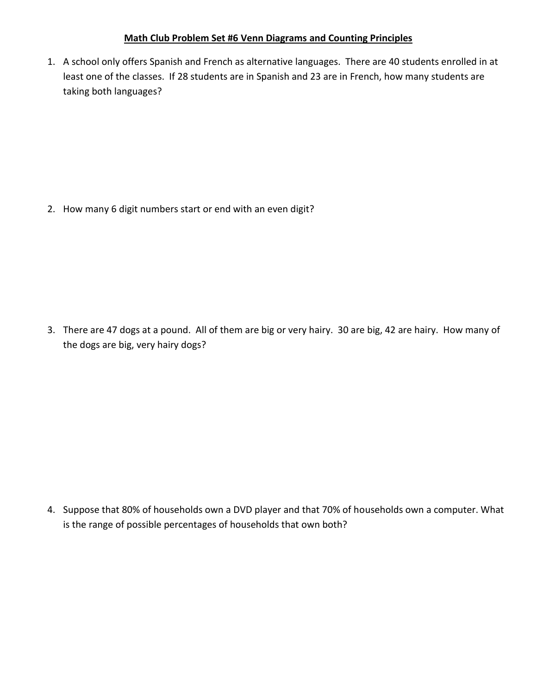## **Math Club Problem Set #6 Venn Diagrams and Counting Principles**

1. A school only offers Spanish and French as alternative languages. There are 40 students enrolled in at least one of the classes. If 28 students are in Spanish and 23 are in French, how many students are taking both languages?

2. How many 6 digit numbers start or end with an even digit?

3. There are 47 dogs at a pound. All of them are big or very hairy. 30 are big, 42 are hairy. How many of the dogs are big, very hairy dogs?

4. Suppose that 80% of households own a DVD player and that 70% of households own a computer. What is the range of possible percentages of households that own both?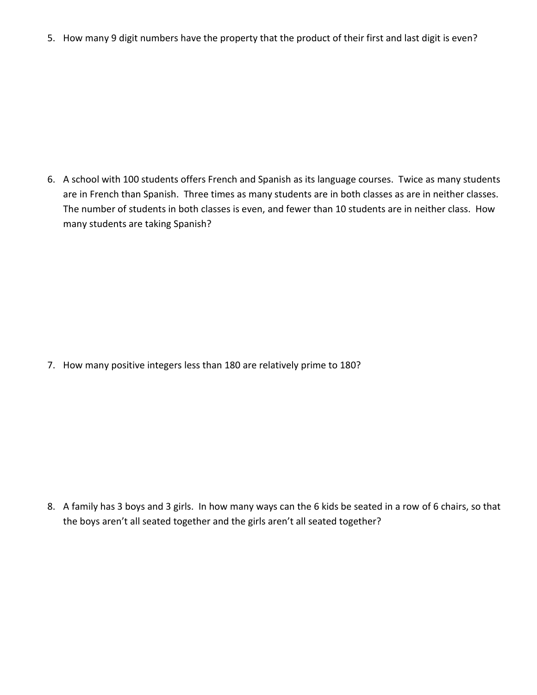5. How many 9 digit numbers have the property that the product of their first and last digit is even?

6. A school with 100 students offers French and Spanish as its language courses. Twice as many students are in French than Spanish. Three times as many students are in both classes as are in neither classes. The number of students in both classes is even, and fewer than 10 students are in neither class. How many students are taking Spanish?

7. How many positive integers less than 180 are relatively prime to 180?

8. A family has 3 boys and 3 girls. In how many ways can the 6 kids be seated in a row of 6 chairs, so that the boys aren't all seated together and the girls aren't all seated together?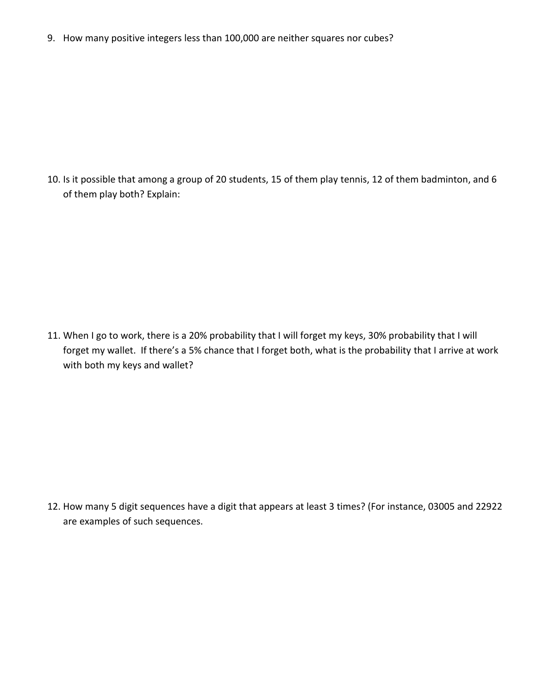9. How many positive integers less than 100,000 are neither squares nor cubes?

10. Is it possible that among a group of 20 students, 15 of them play tennis, 12 of them badminton, and 6 of them play both? Explain:

11. When I go to work, there is a 20% probability that I will forget my keys, 30% probability that I will forget my wallet. If there's a 5% chance that I forget both, what is the probability that I arrive at work with both my keys and wallet?

12. How many 5 digit sequences have a digit that appears at least 3 times? (For instance, 03005 and 22922 are examples of such sequences.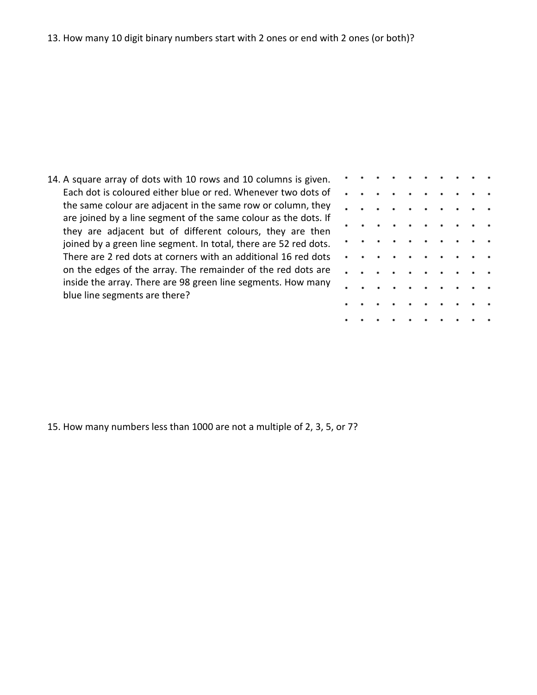14. A square array of dots with 10 rows and 10 columns is given. Each dot is coloured either blue or red. Whenever two dots of the same colour are adjacent in the same row or column, they are joined by a line segment of the same colour as the dots. If they are adjacent but of different colours, they are then joined by a green line segment. In total, there are 52 red dots. There are 2 red dots at corners with an additional 16 red dots on the edges of the array. The remainder of the red dots are inside the array. There are 98 green line segments. How many blue line segments are there?

| $\cdot$              | $\bullet$ |           | the contract of the contract of    |         |           |         |                |           |         |
|----------------------|-----------|-----------|------------------------------------|---------|-----------|---------|----------------|-----------|---------|
| $\cdot$              | $\bullet$ | $\bullet$ | .                                  |         |           |         |                | $\cdots$  |         |
| $\cdot$              | ٠         | $\bullet$ | $\bullet$                          | $\cdot$ | $\cdot$ . |         | $\bullet$      | $\bullet$ | $\cdot$ |
| $\cdot$              | ٠         | ٠         | $\bullet$                          | $\cdot$ | $\cdot$   | $\cdot$ | $\blacksquare$ | $\bullet$ | $\cdot$ |
| $\cdot$              | ٠         | $\bullet$ | .                                  |         |           |         | $\cdot$ .      |           | $\cdot$ |
| $\ddot{\phantom{0}}$ | ٠         | $\bullet$ | $\cdot$                            | $\cdot$ | $\cdot$ . |         | $\cdot$        | $\cdot$   | $\cdot$ |
| $\ddot{\phantom{0}}$ | ٠         | $\bullet$ | $\bullet$                          | $\cdot$ | $\cdot$   | $\cdot$ | $\blacksquare$ | $\bullet$ | $\cdot$ |
| $\ddot{\phantom{0}}$ | ٠         | $\bullet$ | $\bullet$                          | $\cdot$ | $\cdot$ . |         | $\cdot$        | $\cdot$   | $\cdot$ |
| $\bullet$            | $\bullet$ | $\bullet$ | $\cdot$ .                          |         | $\cdot$ . |         | $\cdot$        | $\cdot$   | $\cdot$ |
| $\bullet$            |           |           | a construction of the construction |         |           |         |                |           |         |

15. How many numbers less than 1000 are not a multiple of 2, 3, 5, or 7?